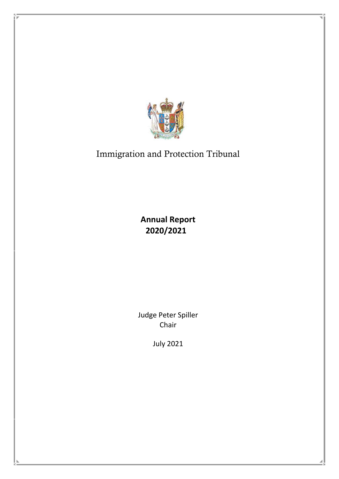

# Immigration and Protection Tribunal

**Annual Report 2020/2021**

Judge Peter Spiller Chair

July 2021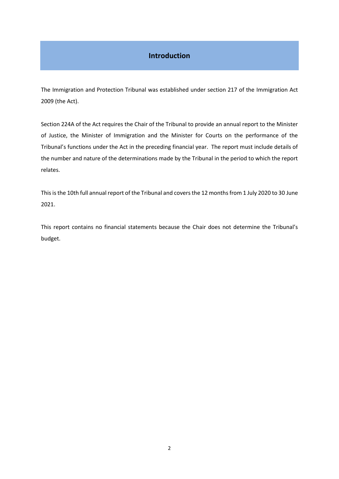# **Introduction**

The Immigration and Protection Tribunal was established under section 217 of the Immigration Act 2009 (the Act).

Section 224A of the Act requires the Chair of the Tribunal to provide an annual report to the Minister of Justice, the Minister of Immigration and the Minister for Courts on the performance of the Tribunal's functions under the Act in the preceding financial year. The report must include details of the number and nature of the determinations made by the Tribunal in the period to which the report relates.

This is the 10th full annual report of the Tribunal and covers the 12 months from 1 July 2020 to 30 June 2021.

This report contains no financial statements because the Chair does not determine the Tribunal's budget.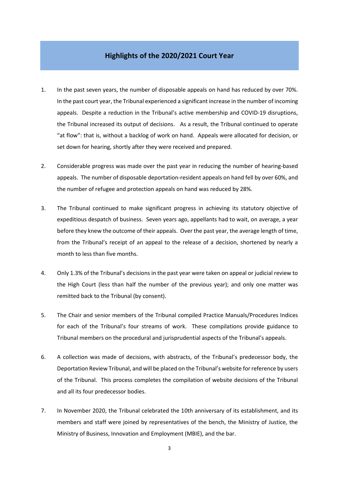# **Highlights of the 2020/2021 Court Year**

- 1. In the past seven years, the number of disposable appeals on hand has reduced by over 70%. In the past court year, the Tribunal experienced a significant increase in the number of incoming appeals. Despite a reduction in the Tribunal's active membership and COVID-19 disruptions, the Tribunal increased its output of decisions. As a result, the Tribunal continued to operate "at flow": that is, without a backlog of work on hand. Appeals were allocated for decision, or set down for hearing, shortly after they were received and prepared.
- 2. Considerable progress was made over the past year in reducing the number of hearing-based appeals. The number of disposable deportation-resident appeals on hand fell by over 60%, and the number of refugee and protection appeals on hand was reduced by 28%.
- 3. The Tribunal continued to make significant progress in achieving its statutory objective of expeditious despatch of business. Seven years ago, appellants had to wait, on average, a year before they knew the outcome of their appeals. Over the past year, the average length of time, from the Tribunal's receipt of an appeal to the release of a decision, shortened by nearly a month to less than five months.
- 4. Only 1.3% of the Tribunal's decisions in the past year were taken on appeal or judicial review to the High Court (less than half the number of the previous year); and only one matter was remitted back to the Tribunal (by consent).
- 5. The Chair and senior members of the Tribunal compiled Practice Manuals/Procedures Indices for each of the Tribunal's four streams of work. These compilations provide guidance to Tribunal members on the procedural and jurisprudential aspects of the Tribunal's appeals.
- 6. A collection was made of decisions, with abstracts, of the Tribunal's predecessor body, the Deportation Review Tribunal, and will be placed on the Tribunal's website for reference by users of the Tribunal. This process completes the compilation of website decisions of the Tribunal and all its four predecessor bodies.
- 7. In November 2020, the Tribunal celebrated the 10th anniversary of its establishment, and its members and staff were joined by representatives of the bench, the Ministry of Justice, the Ministry of Business, Innovation and Employment (MBIE), and the bar.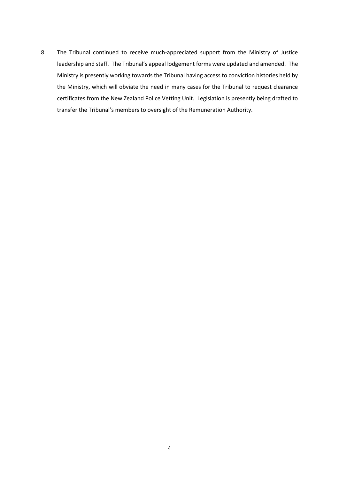8. The Tribunal continued to receive much-appreciated support from the Ministry of Justice leadership and staff. The Tribunal's appeal lodgement forms were updated and amended. The Ministry is presently working towards the Tribunal having access to conviction histories held by the Ministry, which will obviate the need in many cases for the Tribunal to request clearance certificates from the New Zealand Police Vetting Unit. Legislation is presently being drafted to transfer the Tribunal's members to oversight of the Remuneration Authority.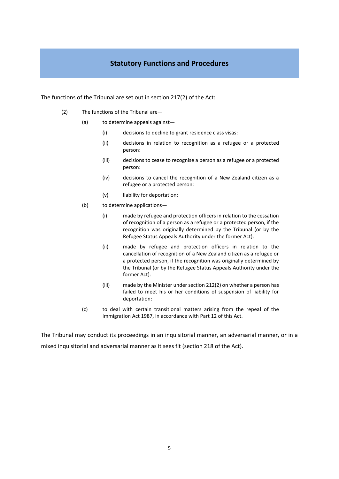# **Statutory Functions and Procedures**

The functions of the Tribunal are set out in section 217(2) of the Act:

- (2) The functions of the Tribunal are—
	- (a) to determine appeals against—
		- (i) decisions to decline to grant residence class visas:
		- (ii) decisions in relation to recognition as a refugee or a protected person:
		- (iii) decisions to cease to recognise a person as a refugee or a protected person:
		- (iv) decisions to cancel the recognition of a New Zealand citizen as a refugee or a protected person:
		- (v) liability for deportation:
	- (b) to determine applications—
		- (i) made by refugee and protection officers in relation to the cessation of recognition of a person as a refugee or a protected person, if the recognition was originally determined by the Tribunal (or by the Refugee Status Appeals Authority under the former Act):
		- (ii) made by refugee and protection officers in relation to the cancellation of recognition of a New Zealand citizen as a refugee or a protected person, if the recognition was originally determined by the Tribunal (or by the Refugee Status Appeals Authority under the former Act):
		- (iii) made by the Minister under section 212(2) on whether a person has failed to meet his or her conditions of suspension of liability for deportation:
	- (c) to deal with certain transitional matters arising from the repeal of the Immigration Act 1987, in accordance with Part 12 of this Act.

The Tribunal may conduct its proceedings in an inquisitorial manner, an adversarial manner, or in a mixed inquisitorial and adversarial manner as it sees fit (section 218 of the Act).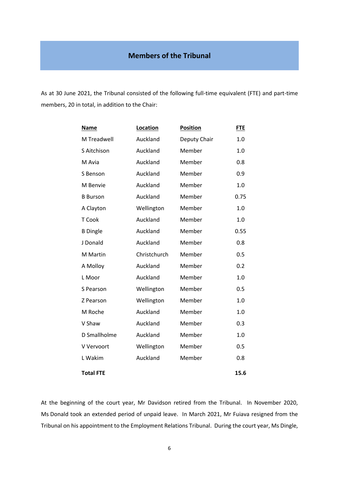As at 30 June 2021, the Tribunal consisted of the following full-time equivalent (FTE) and part-time members, 20 in total, in addition to the Chair:

| <b>Name</b>      | Location     | <b>Position</b> | <b>FTE</b> |
|------------------|--------------|-----------------|------------|
| M Treadwell      | Auckland     | Deputy Chair    | 1.0        |
| S Aitchison      | Auckland     | Member          | 1.0        |
| M Avia           | Auckland     | Member          | 0.8        |
| S Benson         | Auckland     | Member          | 0.9        |
| M Benvie         | Auckland     | Member          | 1.0        |
| <b>B</b> Burson  | Auckland     | Member          | 0.75       |
| A Clayton        | Wellington   | Member          | 1.0        |
| T Cook           | Auckland     | Member          | 1.0        |
| <b>B</b> Dingle  | Auckland     | Member          | 0.55       |
| J Donald         | Auckland     | Member          | 0.8        |
| M Martin         | Christchurch | Member          | 0.5        |
| A Molloy         | Auckland     | Member          | 0.2        |
| L Moor           | Auckland     | Member          | 1.0        |
| S Pearson        | Wellington   | Member          | 0.5        |
| Z Pearson        | Wellington   | Member          | 1.0        |
| M Roche          | Auckland     | Member          | 1.0        |
| V Shaw           | Auckland     | Member          | 0.3        |
| D Smallholme     | Auckland     | Member          | 1.0        |
| V Vervoort       | Wellington   | Member          | 0.5        |
| L Wakim          | Auckland     | Member          | 0.8        |
| <b>Total FTE</b> |              |                 | 15.6       |

At the beginning of the court year, Mr Davidson retired from the Tribunal. In November 2020, Ms Donald took an extended period of unpaid leave. In March 2021, Mr Fuiava resigned from the Tribunal on his appointment to the Employment Relations Tribunal. During the court year, Ms Dingle,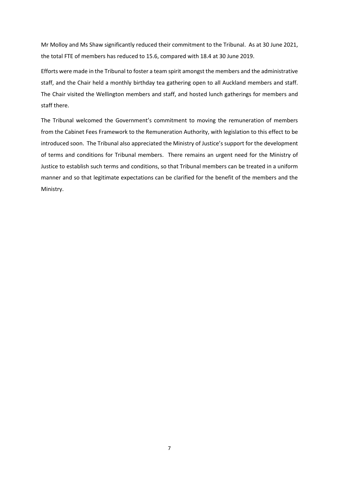Mr Molloy and Ms Shaw significantly reduced their commitment to the Tribunal. As at 30 June 2021, the total FTE of members has reduced to 15.6, compared with 18.4 at 30 June 2019.

Efforts were made in the Tribunal to foster a team spirit amongst the members and the administrative staff, and the Chair held a monthly birthday tea gathering open to all Auckland members and staff. The Chair visited the Wellington members and staff, and hosted lunch gatherings for members and staff there.

The Tribunal welcomed the Government's commitment to moving the remuneration of members from the Cabinet Fees Framework to the Remuneration Authority, with legislation to this effect to be introduced soon. The Tribunal also appreciated the Ministry of Justice's support for the development of terms and conditions for Tribunal members. There remains an urgent need for the Ministry of Justice to establish such terms and conditions, so that Tribunal members can be treated in a uniform manner and so that legitimate expectations can be clarified for the benefit of the members and the Ministry.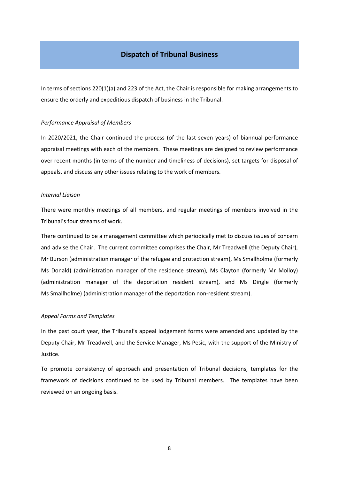### **Dispatch of Tribunal Business**

In terms of sections 220(1)(a) and 223 of the Act, the Chair is responsible for making arrangements to ensure the orderly and expeditious dispatch of business in the Tribunal.

#### *Performance Appraisal of Members*

In 2020/2021, the Chair continued the process (of the last seven years) of biannual performance appraisal meetings with each of the members. These meetings are designed to review performance over recent months (in terms of the number and timeliness of decisions), set targets for disposal of appeals, and discuss any other issues relating to the work of members.

#### *Internal Liaison*

There were monthly meetings of all members, and regular meetings of members involved in the Tribunal's four streams of work.

There continued to be a management committee which periodically met to discuss issues of concern and advise the Chair. The current committee comprises the Chair, Mr Treadwell (the Deputy Chair), Mr Burson (administration manager of the refugee and protection stream), Ms Smallholme (formerly Ms Donald) (administration manager of the residence stream), Ms Clayton (formerly Mr Molloy) (administration manager of the deportation resident stream), and Ms Dingle (formerly Ms Smallholme) (administration manager of the deportation non-resident stream).

#### *Appeal Forms and Templates*

In the past court year, the Tribunal's appeal lodgement forms were amended and updated by the Deputy Chair, Mr Treadwell, and the Service Manager, Ms Pesic, with the support of the Ministry of Justice.

To promote consistency of approach and presentation of Tribunal decisions, templates for the framework of decisions continued to be used by Tribunal members. The templates have been reviewed on an ongoing basis.

8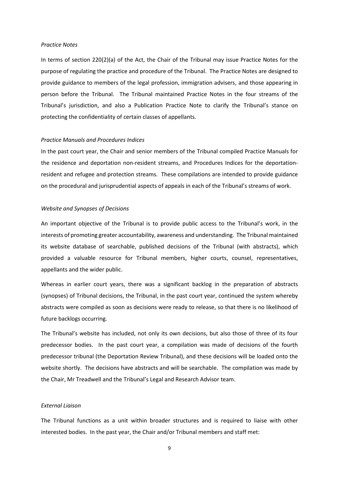#### *Practice Notes*

In terms of section 220(2)(a) of the Act, the Chair of the Tribunal may issue Practice Notes for the purpose of regulating the practice and procedure of the Tribunal. The Practice Notes are designed to provide guidance to members of the legal profession, immigration advisers, and those appearing in person before the Tribunal. The Tribunal maintained Practice Notes in the four streams of the Tribunal's jurisdiction, and also a Publication Practice Note to clarify the Tribunal's stance on protecting the confidentiality of certain classes of appellants.

#### *Practice Manuals and Procedures Indices*

In the past court year, the Chair and senior members of the Tribunal compiled Practice Manuals for the residence and deportation non-resident streams, and Procedures Indices for the deportationresident and refugee and protection streams. These compilations are intended to provide guidance on the procedural and jurisprudential aspects of appeals in each of the Tribunal's streams of work.

#### *Website and Synopses of Decisions*

An important objective of the Tribunal is to provide public access to the Tribunal's work, in the interests of promoting greater accountability, awareness and understanding. The Tribunal maintained its website database of searchable, published decisions of the Tribunal (with abstracts), which provided a valuable resource for Tribunal members, higher courts, counsel, representatives, appellants and the wider public.

Whereas in earlier court years, there was a significant backlog in the preparation of abstracts (synopses) of Tribunal decisions, the Tribunal, in the past court year, continued the system whereby abstracts were compiled as soon as decisions were ready to release, so that there is no likelihood of future backlogs occurring.

The Tribunal's website has included, not only its own decisions, but also those of three of its four predecessor bodies. In the past court year, a compilation was made of decisions of the fourth predecessor tribunal (the Deportation Review Tribunal), and these decisions will be loaded onto the website shortly. The decisions have abstracts and will be searchable. The compilation was made by the Chair, Mr Treadwell and the Tribunal's Legal and Research Advisor team.

#### *External Liaison*

The Tribunal functions as a unit within broader structures and is required to liaise with other interested bodies. In the past year, the Chair and/or Tribunal members and staff met:

9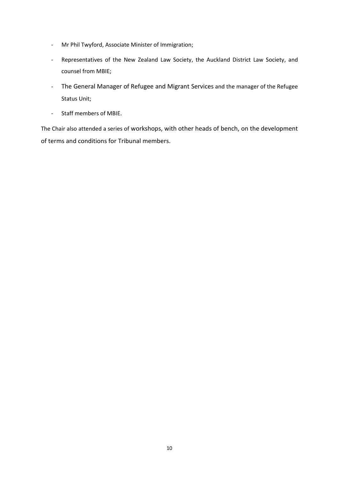- Mr Phil Twyford, Associate Minister of Immigration;
- Representatives of the New Zealand Law Society, the Auckland District Law Society, and counsel from MBIE;
- The General Manager of Refugee and Migrant Services and the manager of the Refugee Status Unit;
- Staff members of MBIE.

The Chair also attended a series of workshops, with other heads of bench, on the development of terms and conditions for Tribunal members.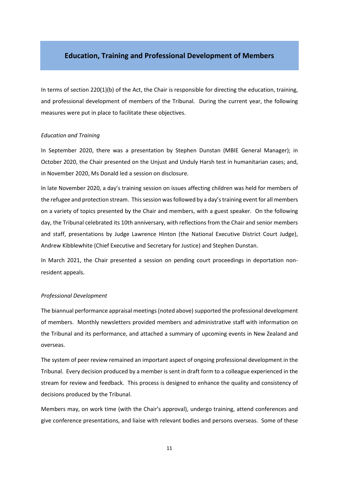#### **Education, Training and Professional Development of Members**

In terms of section 220(1)(b) of the Act, the Chair is responsible for directing the education, training, and professional development of members of the Tribunal. During the current year, the following measures were put in place to facilitate these objectives.

#### *Education and Training*

In September 2020, there was a presentation by Stephen Dunstan (MBIE General Manager); in October 2020, the Chair presented on the Unjust and Unduly Harsh test in humanitarian cases; and, in November 2020, Ms Donald led a session on disclosure.

In late November 2020, a day's training session on issues affecting children was held for members of the refugee and protection stream. This session was followed by a day's training event for all members on a variety of topics presented by the Chair and members, with a guest speaker. On the following day, the Tribunal celebrated its 10th anniversary, with reflections from the Chair and senior members and staff, presentations by Judge Lawrence Hinton (the National Executive District Court Judge), Andrew Kibblewhite (Chief Executive and Secretary for Justice) and Stephen Dunstan.

In March 2021, the Chair presented a session on pending court proceedings in deportation nonresident appeals.

#### *Professional Development*

The biannual performance appraisal meetings (noted above) supported the professional development of members. Monthly newsletters provided members and administrative staff with information on the Tribunal and its performance, and attached a summary of upcoming events in New Zealand and overseas.

The system of peer review remained an important aspect of ongoing professional development in the Tribunal. Every decision produced by a member is sent in draft form to a colleague experienced in the stream for review and feedback. This process is designed to enhance the quality and consistency of decisions produced by the Tribunal.

Members may, on work time (with the Chair's approval), undergo training, attend conferences and give conference presentations, and liaise with relevant bodies and persons overseas. Some of these

11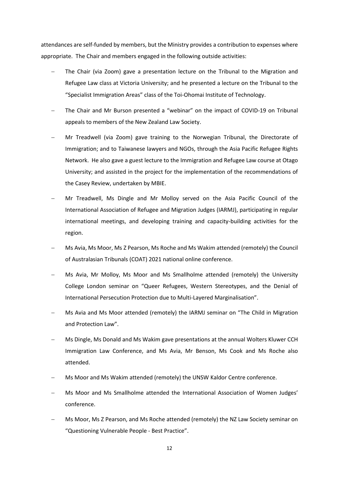attendances are self-funded by members, but the Ministry provides a contribution to expenses where appropriate. The Chair and members engaged in the following outside activities:

- The Chair (via Zoom) gave a presentation lecture on the Tribunal to the Migration and Refugee Law class at Victoria University; and he presented a lecture on the Tribunal to the "Specialist Immigration Areas" class of the Toi-Ohomai Institute of Technology.
- The Chair and Mr Burson presented a "webinar" on the impact of COVID-19 on Tribunal appeals to members of the New Zealand Law Society.
- − Mr Treadwell (via Zoom) gave training to the Norwegian Tribunal, the Directorate of Immigration; and to Taiwanese lawyers and NGOs, through the Asia Pacific Refugee Rights Network. He also gave a guest lecture to the Immigration and Refugee Law course at Otago University; and assisted in the project for the implementation of the recommendations of the Casey Review, undertaken by MBIE.
- − Mr Treadwell, Ms Dingle and Mr Molloy served on the Asia Pacific Council of the International Association of Refugee and Migration Judges (IARMJ), participating in regular international meetings, and developing training and capacity-building activities for the region.
- − Ms Avia, Ms Moor, Ms Z Pearson, Ms Roche and Ms Wakim attended (remotely) the Council of Australasian Tribunals (COAT) 2021 national online conference.
- Ms Avia, Mr Molloy, Ms Moor and Ms Smallholme attended (remotely) the University College London seminar on "Queer Refugees, Western Stereotypes, and the Denial of International Persecution Protection due to Multi-Layered Marginalisation".
- Ms Avia and Ms Moor attended (remotely) the IARMJ seminar on "The Child in Migration and Protection Law".
- − Ms Dingle, Ms Donald and Ms Wakim gave presentations at the annual Wolters Kluwer CCH Immigration Law Conference, and Ms Avia, Mr Benson, Ms Cook and Ms Roche also attended.
- − Ms Moor and Ms Wakim attended (remotely) the UNSW Kaldor Centre conference.
- − Ms Moor and Ms Smallholme attended the International Association of Women Judges' conference.
- Ms Moor, Ms Z Pearson, and Ms Roche attended (remotely) the NZ Law Society seminar on "Questioning Vulnerable People - Best Practice".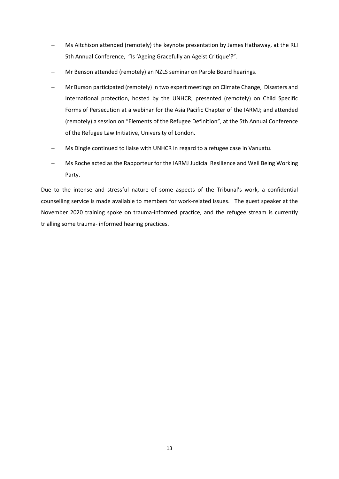- − Ms Aitchison attended (remotely) the keynote presentation by James Hathaway, at the RLI 5th Annual Conference, "Is 'Ageing Gracefully an Ageist Critique'?".
- − Mr Benson attended (remotely) an NZLS seminar on Parole Board hearings.
- − Mr Burson participated (remotely) in two expert meetings on Climate Change, Disasters and International protection, hosted by the UNHCR; presented (remotely) on Child Specific Forms of Persecution at a webinar for the Asia Pacific Chapter of the IARMJ; and attended (remotely) a session on "Elements of the Refugee Definition", at the 5th Annual Conference of the Refugee Law Initiative, University of London.
- − Ms Dingle continued to liaise with UNHCR in regard to a refugee case in Vanuatu.
- − Ms Roche acted as the Rapporteur for the IARMJ Judicial Resilience and Well Being Working Party.

Due to the intense and stressful nature of some aspects of the Tribunal's work, a confidential counselling service is made available to members for work-related issues. The guest speaker at the November 2020 training spoke on trauma-informed practice, and the refugee stream is currently trialling some trauma- informed hearing practices.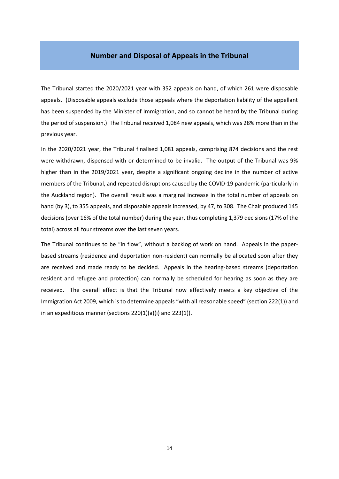#### **Number and Disposal of Appeals in the Tribunal**

The Tribunal started the 2020/2021 year with 352 appeals on hand, of which 261 were disposable appeals. (Disposable appeals exclude those appeals where the deportation liability of the appellant has been suspended by the Minister of Immigration, and so cannot be heard by the Tribunal during the period of suspension.) The Tribunal received 1,084 new appeals, which was 28% more than in the previous year.

In the 2020/2021 year, the Tribunal finalised 1,081 appeals, comprising 874 decisions and the rest were withdrawn, dispensed with or determined to be invalid. The output of the Tribunal was 9% higher than in the 2019/2021 year, despite a significant ongoing decline in the number of active members of the Tribunal, and repeated disruptions caused by the COVID-19 pandemic (particularly in the Auckland region). The overall result was a marginal increase in the total number of appeals on hand (by 3), to 355 appeals, and disposable appeals increased, by 47, to 308. The Chair produced 145 decisions (over 16% of the total number) during the year, thus completing 1,379 decisions (17% of the total) across all four streams over the last seven years.

The Tribunal continues to be "in flow", without a backlog of work on hand. Appeals in the paperbased streams (residence and deportation non-resident) can normally be allocated soon after they are received and made ready to be decided. Appeals in the hearing-based streams (deportation resident and refugee and protection) can normally be scheduled for hearing as soon as they are received. The overall effect is that the Tribunal now effectively meets a key objective of the Immigration Act 2009, which is to determine appeals "with all reasonable speed" (section 222(1)) and in an expeditious manner (sections 220(1)(a)(i) and 223(1)).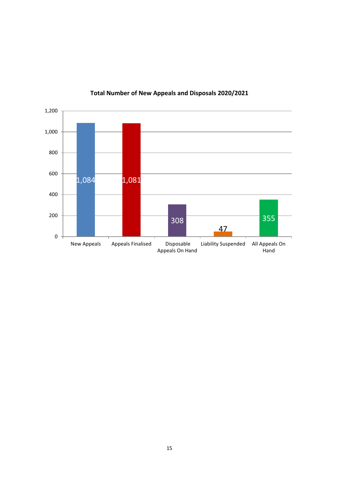

# **Total Number of New Appeals and Disposals 2020/2021**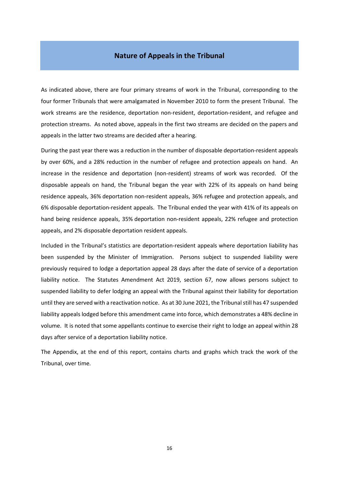#### **Nature of Appeals in the Tribunal**

As indicated above, there are four primary streams of work in the Tribunal, corresponding to the four former Tribunals that were amalgamated in November 2010 to form the present Tribunal. The work streams are the residence, deportation non-resident, deportation-resident, and refugee and protection streams. As noted above, appeals in the first two streams are decided on the papers and appeals in the latter two streams are decided after a hearing.

During the past year there was a reduction in the number of disposable deportation-resident appeals by over 60%, and a 28% reduction in the number of refugee and protection appeals on hand. An increase in the residence and deportation (non-resident) streams of work was recorded. Of the disposable appeals on hand, the Tribunal began the year with 22% of its appeals on hand being residence appeals, 36% deportation non-resident appeals, 36% refugee and protection appeals, and 6% disposable deportation-resident appeals. The Tribunal ended the year with 41% of its appeals on hand being residence appeals, 35% deportation non-resident appeals, 22% refugee and protection appeals, and 2% disposable deportation resident appeals.

Included in the Tribunal's statistics are deportation-resident appeals where deportation liability has been suspended by the Minister of Immigration. Persons subject to suspended liability were previously required to lodge a deportation appeal 28 days after the date of service of a deportation liability notice. The Statutes Amendment Act 2019, section 67, now allows persons subject to suspended liability to defer lodging an appeal with the Tribunal against their liability for deportation until they are served with a reactivation notice. As at 30 June 2021, the Tribunal still has 47 suspended liability appeals lodged before this amendment came into force, which demonstrates a 48% decline in volume. It is noted that some appellants continue to exercise their right to lodge an appeal within 28 days after service of a deportation liability notice.

The Appendix, at the end of this report, contains charts and graphs which track the work of the Tribunal, over time*.*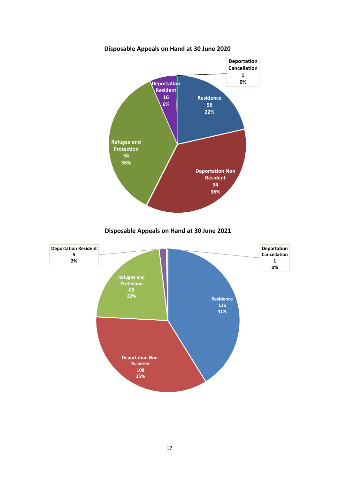

**Disposable Appeals on Hand at 30 June 2020**



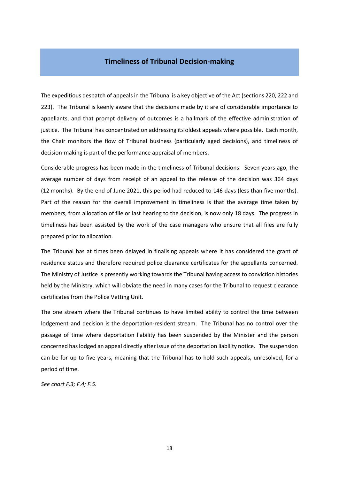## **Timeliness of Tribunal Decision-making**

The expeditious despatch of appeals in the Tribunal is a key objective of the Act (sections 220, 222 and 223). The Tribunal is keenly aware that the decisions made by it are of considerable importance to appellants, and that prompt delivery of outcomes is a hallmark of the effective administration of justice. The Tribunal has concentrated on addressing its oldest appeals where possible. Each month, the Chair monitors the flow of Tribunal business (particularly aged decisions), and timeliness of decision-making is part of the performance appraisal of members.

Considerable progress has been made in the timeliness of Tribunal decisions. Seven years ago, the average number of days from receipt of an appeal to the release of the decision was 364 days (12 months). By the end of June 2021, this period had reduced to 146 days (less than five months). Part of the reason for the overall improvement in timeliness is that the average time taken by members, from allocation of file or last hearing to the decision, is now only 18 days. The progress in timeliness has been assisted by the work of the case managers who ensure that all files are fully prepared prior to allocation.

The Tribunal has at times been delayed in finalising appeals where it has considered the grant of residence status and therefore required police clearance certificates for the appellants concerned. The Ministry of Justice is presently working towards the Tribunal having access to conviction histories held by the Ministry, which will obviate the need in many cases for the Tribunal to request clearance certificates from the Police Vetting Unit.

The one stream where the Tribunal continues to have limited ability to control the time between lodgement and decision is the deportation-resident stream. The Tribunal has no control over the passage of time where deportation liability has been suspended by the Minister and the person concerned has lodged an appeal directly after issue of the deportation liability notice. The suspension can be for up to five years, meaning that the Tribunal has to hold such appeals, unresolved, for a period of time.

*See chart F.3; F.4; F.5.*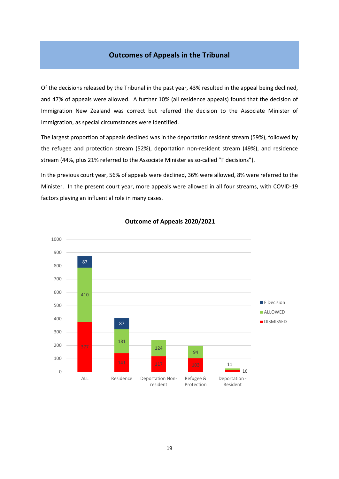## **Outcomes of Appeals in the Tribunal**

Of the decisions released by the Tribunal in the past year, 43% resulted in the appeal being declined, and 47% of appeals were allowed. A further 10% (all residence appeals) found that the decision of Immigration New Zealand was correct but referred the decision to the Associate Minister of Immigration, as special circumstances were identified.

The largest proportion of appeals declined was in the deportation resident stream (59%), followed by the refugee and protection stream (52%), deportation non-resident stream (49%), and residence stream (44%, plus 21% referred to the Associate Minister as so-called "F decisions").

In the previous court year, 56% of appeals were declined, 36% were allowed, 8% were referred to the Minister. In the present court year, more appeals were allowed in all four streams, with COVID-19 factors playing an influential role in many cases.



#### **Outcome of Appeals 2020/2021**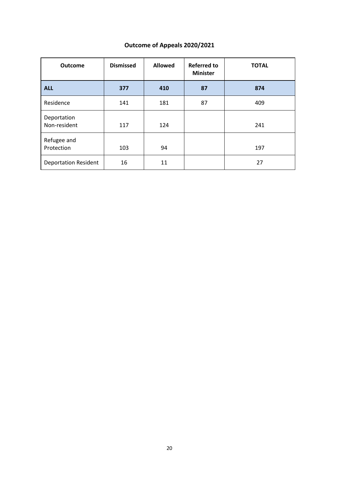# **Outcome of Appeals 2020/2021**

| <b>Outcome</b>              | <b>Dismissed</b> | <b>Allowed</b> | <b>Referred to</b><br><b>Minister</b> | <b>TOTAL</b> |
|-----------------------------|------------------|----------------|---------------------------------------|--------------|
| <b>ALL</b>                  | 377              | 410            | 87                                    | 874          |
| Residence                   | 141              | 181            | 87                                    | 409          |
| Deportation<br>Non-resident | 117              | 124            |                                       | 241          |
| Refugee and<br>Protection   | 103              | 94             |                                       | 197          |
| <b>Deportation Resident</b> | 16               | 11             |                                       | 27           |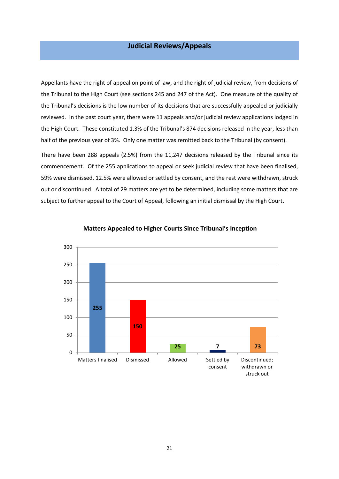# **Judicial Reviews/Appeals**

Appellants have the right of appeal on point of law, and the right of judicial review, from decisions of the Tribunal to the High Court (see sections 245 and 247 of the Act). One measure of the quality of the Tribunal's decisions is the low number of its decisions that are successfully appealed or judicially reviewed. In the past court year, there were 11 appeals and/or judicial review applications lodged in the High Court. These constituted 1.3% of the Tribunal's 874 decisions released in the year, less than half of the previous year of 3%. Only one matter was remitted back to the Tribunal (by consent).

There have been 288 appeals (2.5%) from the 11,247 decisions released by the Tribunal since its commencement. Of the 255 applications to appeal or seek judicial review that have been finalised, 59% were dismissed, 12.5% were allowed or settled by consent, and the rest were withdrawn, struck out or discontinued. A total of 29 matters are yet to be determined, including some matters that are subject to further appeal to the Court of Appeal, following an initial dismissal by the High Court.



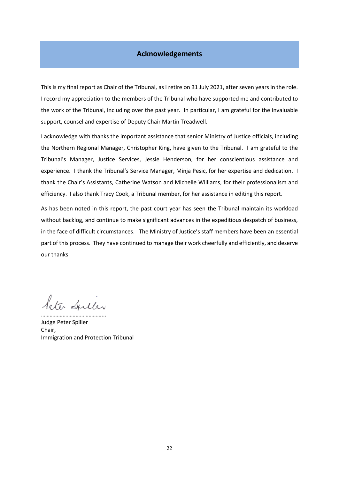# **Acknowledgements**

This is my final report as Chair of the Tribunal, as I retire on 31 July 2021, after seven years in the role. I record my appreciation to the members of the Tribunal who have supported me and contributed to the work of the Tribunal, including over the past year. In particular, I am grateful for the invaluable support, counsel and expertise of Deputy Chair Martin Treadwell.

I acknowledge with thanks the important assistance that senior Ministry of Justice officials, including the Northern Regional Manager, Christopher King, have given to the Tribunal. I am grateful to the Tribunal's Manager, Justice Services, Jessie Henderson, for her conscientious assistance and experience. I thank the Tribunal's Service Manager, Minja Pesic, for her expertise and dedication. I thank the Chair's Assistants, Catherine Watson and Michelle Williams, for their professionalism and efficiency. I also thank Tracy Cook, a Tribunal member, for her assistance in editing this report.

As has been noted in this report, the past court year has seen the Tribunal maintain its workload without backlog, and continue to make significant advances in the expeditious despatch of business, in the face of difficult circumstances. The Ministry of Justice's staff members have been an essential part of this process. They have continued to manage their work cheerfully and efficiently, and deserve our thanks.

leter Spiller

……………………………………... Judge Peter Spiller Chair, Immigration and Protection Tribunal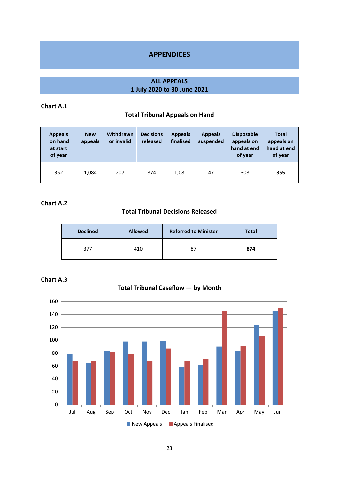# **APPENDICES**

## **ALL APPEALS 1 July 2020 to 30 June 2021**

# **Chart A.1**

## **Total Tribunal Appeals on Hand**

| <b>Appeals</b><br>on hand<br>at start<br>of year | <b>New</b><br>appeals | Withdrawn<br>or invalid | <b>Decisions</b><br>released | <b>Appeals</b><br>finalised | <b>Appeals</b><br>suspended | <b>Disposable</b><br>appeals on<br>hand at end<br>of year | <b>Total</b><br>appeals on<br>hand at end<br>of year |
|--------------------------------------------------|-----------------------|-------------------------|------------------------------|-----------------------------|-----------------------------|-----------------------------------------------------------|------------------------------------------------------|
| 352                                              | 1.084                 | 207                     | 874                          | 1,081                       | 47                          | 308                                                       | 355                                                  |

## **Chart A.2**

# **Total Tribunal Decisions Released**

| <b>Declined</b> | <b>Allowed</b> | <b>Referred to Minister</b> | <b>Total</b> |
|-----------------|----------------|-----------------------------|--------------|
| 377             | 410            | 87                          | 874          |



# **Total Tribunal Caseflow — by Month**

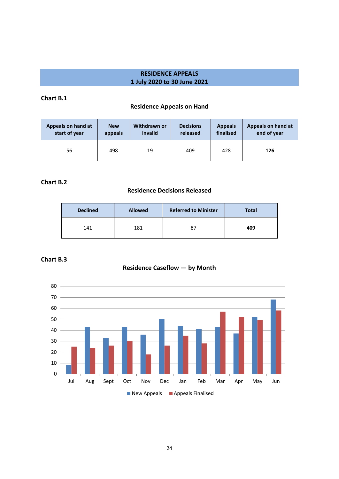# **RESIDENCE APPEALS 1 July 2020 to 30 June 2021**

## **Chart B.1**

# **Residence Appeals on Hand**

| Appeals on hand at | <b>New</b> | Withdrawn or | <b>Decisions</b> | <b>Appeals</b> | Appeals on hand at |
|--------------------|------------|--------------|------------------|----------------|--------------------|
| start of year      | appeals    | invalid      | released         | finalised      | end of year        |
| 56                 | 498        | 19           | 409              | 428            | 126                |

### **Chart B.2**

#### **Residence Decisions Released**

| <b>Declined</b> | <b>Allowed</b> | <b>Referred to Minister</b> | <b>Total</b> |
|-----------------|----------------|-----------------------------|--------------|
| 141             | 181            | 87                          | 409          |

# **Chart B.3**



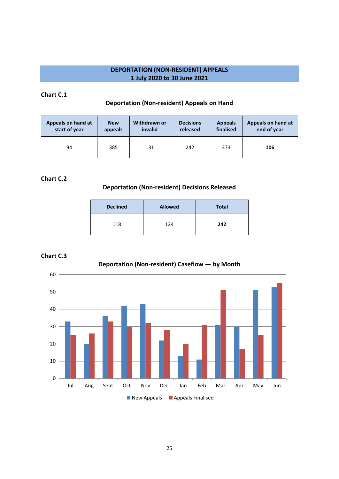# **DEPORTATION (NON-RESIDENT) APPEALS 1 July 2020 to 30 June 2021**

#### **Chart C.1**

### **Deportation (Non-resident) Appeals on Hand**

| Appeals on hand at | <b>New</b> | Withdrawn or | <b>Decisions</b> | <b>Appeals</b> | Appeals on hand at |
|--------------------|------------|--------------|------------------|----------------|--------------------|
| start of year      | appeals    | invalid      | released         | finalised      | end of year        |
| 94                 | 385        | 131          | 242              | 373            | 106                |

## **Chart C.2**

#### **Deportation (Non-resident) Decisions Released**

| <b>Declined</b> | <b>Allowed</b> | <b>Total</b> |
|-----------------|----------------|--------------|
| 118             | 124            | 242          |

### **Chart C.3**



# **Deportation (Non-resident) Caseflow — by Month**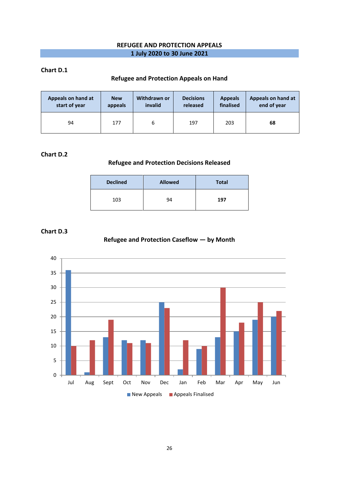### **REFUGEE AND PROTECTION APPEALS 1 July 2020 to 30 June 2021**

#### **Chart D.1**

## **Refugee and Protection Appeals on Hand**

| Appeals on hand at | <b>New</b> | Withdrawn or | <b>Decisions</b> | <b>Appeals</b> | Appeals on hand at |
|--------------------|------------|--------------|------------------|----------------|--------------------|
| start of year      | appeals    | invalid      | released         | finalised      | end of year        |
| 94                 | 177        | 6            | 197              | 203            | 68                 |

#### **Chart D.2**

# **Refugee and Protection Decisions Released**

| <b>Declined</b> | <b>Allowed</b> | <b>Total</b> |
|-----------------|----------------|--------------|
| 103             | 94             | 197          |

#### **Chart D.3**

# **Refugee and Protection Caseflow — by Month**

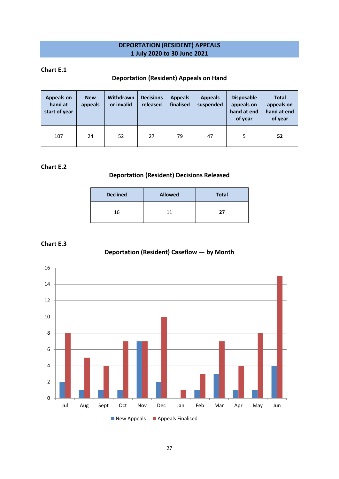# **DEPORTATION (RESIDENT) APPEALS 1 July 2020 to 30 June 2021**

#### **Chart E.1**

## **Deportation (Resident) Appeals on Hand**

| <b>Appeals on</b><br>hand at<br>start of year | <b>New</b><br>appeals | Withdrawn<br>or invalid | <b>Decisions</b><br>released | <b>Appeals</b><br>finalised | <b>Appeals</b><br>suspended | <b>Disposable</b><br>appeals on<br>hand at end<br>of year | <b>Total</b><br>appeals on<br>hand at end<br>of year |
|-----------------------------------------------|-----------------------|-------------------------|------------------------------|-----------------------------|-----------------------------|-----------------------------------------------------------|------------------------------------------------------|
| 107                                           | 24                    | 52                      | 27                           | 79                          | 47                          |                                                           | 52                                                   |

## **Chart E.2**

# **Deportation (Resident) Decisions Released**

| <b>Declined</b> | <b>Allowed</b> | <b>Total</b> |
|-----------------|----------------|--------------|
| 16              |                | 27           |

#### **Chart E.3**

# **Deportation (Resident) Caseflow — by Month**

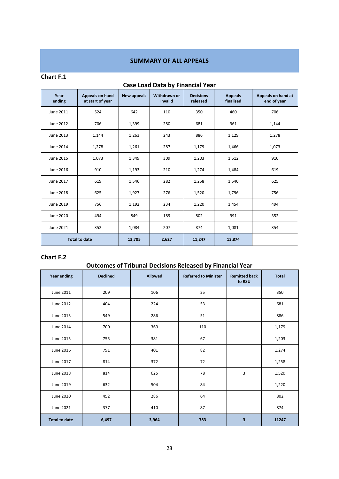# **SUMMARY OF ALL APPEALS**

#### **Chart F.1**

| Year<br>ending       | <b>Appeals on hand</b><br>at start of year | New appeals | Withdrawn or<br>invalid | <b>Decisions</b><br>released | <b>Appeals</b><br>finalised | Appeals on hand at<br>end of year |
|----------------------|--------------------------------------------|-------------|-------------------------|------------------------------|-----------------------------|-----------------------------------|
| June 2011            | 524                                        | 642         | 110                     | 350                          | 460                         | 706                               |
| June 2012            | 706                                        | 1,399       | 280                     | 681                          | 961                         | 1,144                             |
| June 2013            | 1,144                                      | 1,263       | 243                     | 886                          | 1,129                       | 1,278                             |
| <b>June 2014</b>     | 1,278                                      |             | 287                     | 1,179                        | 1,466                       | 1,073                             |
| June 2015            | 1,073                                      | 1,349       | 309                     | 1,203                        | 1,512                       | 910                               |
| June 2016            | 910                                        | 1,193       | 210                     | 1,274                        | 1,484                       | 619                               |
| June 2017            | 619                                        | 1,546       | 282                     | 1,258                        | 1,540                       | 625                               |
| <b>June 2018</b>     | 625                                        | 1,927       | 276                     | 1,520                        | 1,796                       | 756                               |
| June 2019            | 756                                        | 1,192       | 234                     | 1,220                        | 1,454                       | 494                               |
| <b>June 2020</b>     | 494                                        | 849         | 189                     | 802                          | 991                         | 352                               |
| June 2021            | 352                                        | 1,084       | 207                     | 874                          | 1,081                       | 354                               |
| <b>Total to date</b> |                                            | 13,705      | 2,627                   | 11,247                       | 13,874                      |                                   |

# **Case Load Data by Financial Year**

#### **Chart F.2**

# **Outcomes of Tribunal Decisions Released by Financial Year**

| Year ending          | <b>Declined</b> | <b>Allowed</b> | <b>Referred to Minister</b> | <b>Remitted back</b><br>to RSU | <b>Total</b> |
|----------------------|-----------------|----------------|-----------------------------|--------------------------------|--------------|
| June 2011            | 209             | 106            | 35                          |                                | 350          |
| June 2012            | 404             | 224            | 53                          |                                | 681          |
| June 2013            | 549             | 286            | 51                          |                                | 886          |
| June 2014            | 700             | 369            | 110                         |                                | 1,179        |
| June 2015            | 755             | 381            | 67                          |                                | 1,203        |
| June 2016            | 791             | 401            | 82                          |                                | 1,274        |
| June 2017            | 814             | 372            | 72                          |                                | 1,258        |
| June 2018            | 814             | 625            | 78                          | 3                              | 1,520        |
| June 2019            | 632             | 504            | 84                          |                                | 1,220        |
| June 2020            | 452             | 286            | 64                          |                                | 802          |
| June 2021            | 377             | 410            | 87                          |                                | 874          |
| <b>Total to date</b> | 6,497           | 3,964          | 783                         | 3                              | 11247        |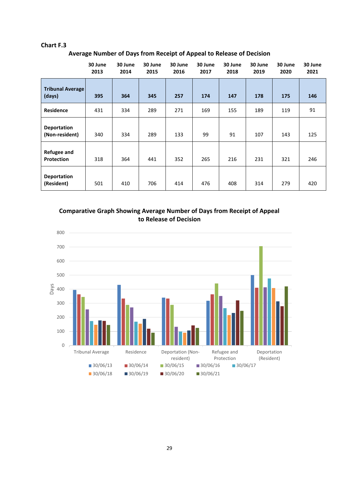#### **Chart F.3**

**Average Number of Days from Receipt of Appeal to Release of Decision**

|                                   | 30 June<br>2013 | 30 June<br>2014 | 30 June<br>2015 | 30 June<br>2016 | 30 June<br>2017 | 30 June<br>2018 | 30 June<br>2019 | 30 June<br>2020 | 30 June<br>2021 |
|-----------------------------------|-----------------|-----------------|-----------------|-----------------|-----------------|-----------------|-----------------|-----------------|-----------------|
| <b>Tribunal Average</b><br>(days) | 395             | 364             | 345             | 257             | 174             | 147             | 178             | 175             | 146             |
| <b>Residence</b>                  | 431             | 334             | 289             | 271             | 169             | 155             | 189             | 119             | 91              |
| Deportation<br>(Non-resident)     | 340             | 334             | 289             | 133             | 99              | 91              | 107             | 143             | 125             |
| <b>Refugee and</b><br>Protection  | 318             | 364             | 441             | 352             | 265             | 216             | 231             | 321             | 246             |
| <b>Deportation</b><br>(Resident)  | 501             | 410             | 706             | 414             | 476             | 408             | 314             | 279             | 420             |

**Comparative Graph Showing Average Number of Days from Receipt of Appeal to Release of Decision**

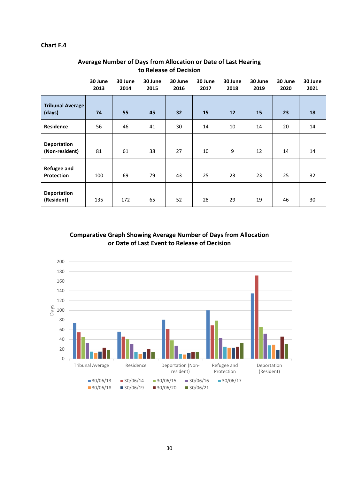#### **Chart F.4**

|                                      | 30 June<br>2013 | 30 June<br>2014 | 30 June<br>2015 | 30 June<br>2016 | 30 June<br>2017 | 30 June<br>2018 | 30 June<br>2019 | 30 June<br>2020 | 30 June<br>2021 |
|--------------------------------------|-----------------|-----------------|-----------------|-----------------|-----------------|-----------------|-----------------|-----------------|-----------------|
| <b>Tribunal Average</b><br>(days)    | 74              | 55              | 45              | 32              | 15              | 12              | 15              | 23              | 18              |
| <b>Residence</b>                     | 56              | 46              | 41              | 30              | 14              | 10              | 14              | 20              | 14              |
| <b>Deportation</b><br>(Non-resident) | 81              | 61              | 38              | 27              | 10              | 9               | 12              | 14              | 14              |
| <b>Refugee and</b><br>Protection     | 100             | 69              | 79              | 43              | 25              | 23              | 23              | 25              | 32              |
| <b>Deportation</b><br>(Resident)     | 135             | 172             | 65              | 52              | 28              | 29              | 19              | 46              | 30              |

# **Average Number of Days from Allocation or Date of Last Hearing to Release of Decision**

## **Comparative Graph Showing Average Number of Days from Allocation or Date of Last Event to Release of Decision**

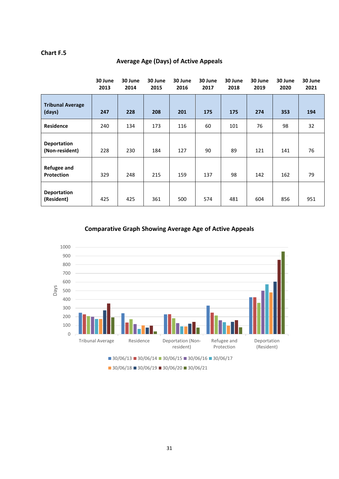#### **Chart F.5**

|                                         | 30 June<br>2013 | 30 June<br>2014 | 30 June<br>2015 | 30 June<br>2016 | 30 June<br>2017 | 30 June<br>2018 | 30 June<br>2019 | 30 June<br>2020 | 30 June<br>2021 |
|-----------------------------------------|-----------------|-----------------|-----------------|-----------------|-----------------|-----------------|-----------------|-----------------|-----------------|
| <b>Tribunal Average</b><br>(days)       | 247             | 228             | 208             | 201             | 175             | 175             | 274             | 353             | 194             |
| <b>Residence</b>                        | 240             | 134             | 173             | 116             | 60              | 101             | 76              | 98              | 32              |
| <b>Deportation</b><br>(Non-resident)    | 228             | 230             | 184             | 127             | 90              | 89              | 121             | 141             | 76              |
| <b>Refugee and</b><br><b>Protection</b> | 329             | 248             | 215             | 159             | 137             | 98              | 142             | 162             | 79              |
| <b>Deportation</b><br>(Resident)        | 425             | 425             | 361             | 500             | 574             | 481             | 604             | 856             | 951             |

# **Average Age (Days) of Active Appeals**

**Comparative Graph Showing Average Age of Active Appeals**

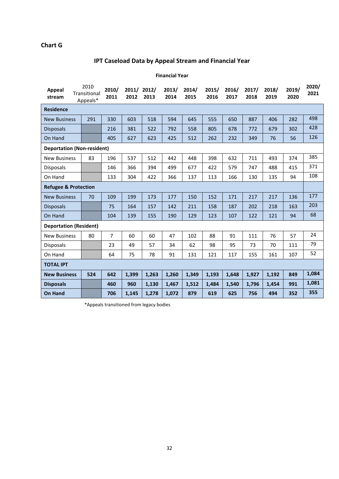## **Chart G**

# **IPT Caseload Data by Appeal Stream and Financial Year**

#### **Financial Year**

| Appeal<br>stream                  | 2010<br>Transitional<br>Appeals* | 2010/<br>2011 | 2011/<br>2012 | 2012/<br>2013 | 2013/<br>2014 | 2014/<br>2015 | 2015/<br>2016 | 2016/<br>2017 | 2017/<br>2018 | 2018/<br>2019 | 2019/<br>2020 | 2020/<br>2021 |  |
|-----------------------------------|----------------------------------|---------------|---------------|---------------|---------------|---------------|---------------|---------------|---------------|---------------|---------------|---------------|--|
| <b>Residence</b>                  |                                  |               |               |               |               |               |               |               |               |               |               |               |  |
| <b>New Business</b>               | 291                              | 330           | 603           | 518           | 594           | 645           | 555           | 650           | 887           | 406           | 282           | 498           |  |
| <b>Disposals</b>                  |                                  | 216           | 381           | 522           | 792           | 558           | 805           | 678           | 772           | 679           | 302           | 428           |  |
| On Hand                           |                                  | 405           | 627           | 623           | 425           | 512           | 262           | 232           | 349           | 76            | 56            | 126           |  |
| <b>Deportation (Non-resident)</b> |                                  |               |               |               |               |               |               |               |               |               |               |               |  |
| <b>New Business</b>               | 83                               | 196           | 537           | 512           | 442           | 448           | 398           | 632           | 711           | 493           | 374           | 385           |  |
| <b>Disposals</b>                  |                                  | 146           | 366           | 394           | 499           | 677           | 422           | 579           | 747           | 488           | 415           | 371           |  |
| On Hand                           |                                  | 133           | 304           | 422           | 366           | 137           | 113           | 166           | 130           | 135           | 94            | 108           |  |
| <b>Refugee &amp; Protection</b>   |                                  |               |               |               |               |               |               |               |               |               |               |               |  |
| <b>New Business</b>               | 70                               | 109           | 199           | 173           | 177           | 150           | 152           | 171           | 217           | 217           | 136           | 177           |  |
| <b>Disposals</b>                  |                                  | 75            | 164           | 157           | 142           | 211           | 158           | 187           | 202           | 218           | 163           | 203           |  |
| On Hand                           |                                  | 104           | 139           | 155           | 190           | 129           | 123           | 107           | 122           | 121           | 94            | 68            |  |
| <b>Deportation (Resident)</b>     |                                  |               |               |               |               |               |               |               |               |               |               |               |  |
| <b>New Business</b>               | 80                               | 7             | 60            | 60            | 47            | 102           | 88            | 91            | 111           | 76            | 57            | 24            |  |
| <b>Disposals</b>                  |                                  | 23            | 49            | 57            | 34            | 62            | 98            | 95            | 73            | 70            | 111           | 79            |  |
| On Hand                           |                                  | 64            | 75            | 78            | 91            | 131           | 121           | 117           | 155           | 161           | 107           | 52            |  |
| <b>TOTAL IPT</b>                  |                                  |               |               |               |               |               |               |               |               |               |               |               |  |
| <b>New Business</b>               | 524                              | 642           | 1,399         | 1,263         | 1,260         | 1,349         | 1,193         | 1,648         | 1,927         | 1,192         | 849           | 1,084         |  |
| <b>Disposals</b>                  |                                  | 460           | 960           | 1,130         | 1,467         | 1,512         | 1,484         | 1,540         | 1,796         | 1,454         | 991           | 1,081         |  |
| <b>On Hand</b>                    |                                  | 706           | 1,145         | 1,278         | 1,072         | 879           | 619           | 625           | 756           | 494           | 352           | 355           |  |

\*Appeals transitioned from legacy bodies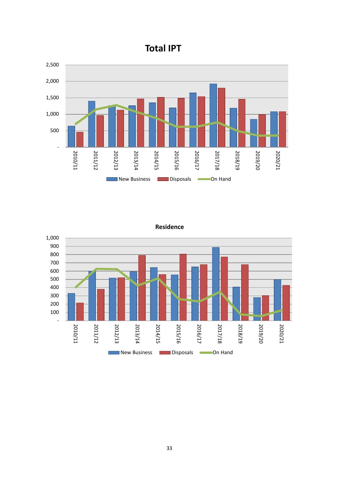





**Residence**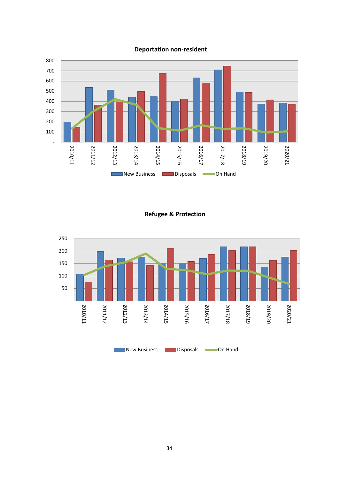

**Deportation non-resident**

**Refugee & Protection**